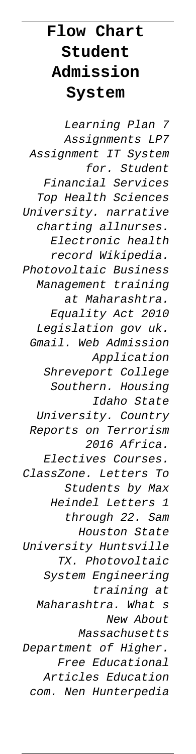## **Flow Chart Student Admission System**

Learning Plan 7 Assignments LP7 Assignment IT System for. Student Financial Services Top Health Sciences University. narrative charting allnurses. Electronic health record Wikipedia. Photovoltaic Business Management training at Maharashtra. Equality Act 2010 Legislation gov uk. Gmail. Web Admission Application Shreveport College Southern. Housing Idaho State University. Country Reports on Terrorism 2016 Africa. Electives Courses. ClassZone. Letters To Students by Max Heindel Letters 1 through 22. Sam Houston State University Huntsville TX. Photovoltaic System Engineering training at Maharashtra. What s New About Massachusetts Department of Higher. Free Educational Articles Education com. Nen Hunterpedia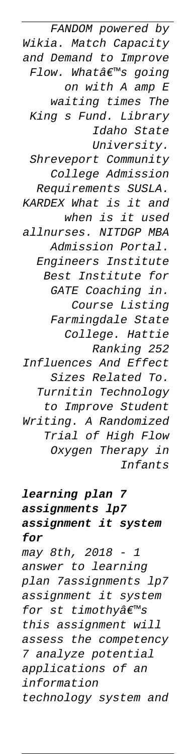FANDOM powered by Wikia. Match Capacity and Demand to Improve Flow. What's going on with A amp E waiting times The King s Fund. Library Idaho State University. Shreveport Community College Admission Requirements SUSLA. KARDEX What is it and when is it used allnurses. NITDGP MBA Admission Portal. Engineers Institute Best Institute for GATE Coaching in. Course Listing Farmingdale State College. Hattie Ranking 252 Influences And Effect Sizes Related To. Turnitin Technology to Improve Student Writing. A Randomized Trial of High Flow Oxygen Therapy in Infants

## **learning plan 7 assignments lp7 assignment it system for** may 8th, 2018 - 1 answer to learning plan 7assignments lp7 assignment it system for st timothy $\hat{a}\in\mathbb{R}^{m}$ s this assignment will

assess the competency 7 analyze potential applications of an information technology system and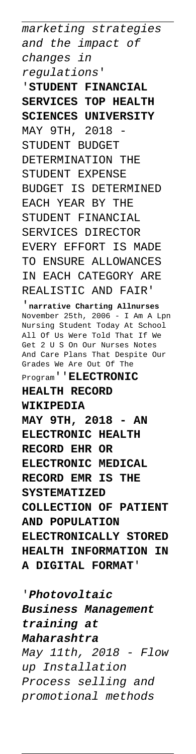marketing strategies and the impact of changes in regulations' '**STUDENT FINANCIAL SERVICES TOP HEALTH SCIENCES UNIVERSITY** MAY 9TH, 2018 STUDENT BUDGET DETERMINATION THE STUDENT EXPENSE BUDGET IS DETERMINED EACH YEAR BY THE STUDENT FINANCIAL SERVICES DIRECTOR EVERY EFFORT IS MADE TO ENSURE ALLOWANCES IN EACH CATEGORY ARE REALISTIC AND FAIR' '**narrative Charting Allnurses**

November 25th, 2006 - I Am A Lpn Nursing Student Today At School All Of Us Were Told That If We Get 2 U S On Our Nurses Notes And Care Plans That Despite Our Grades We Are Out Of The Program''**ELECTRONIC**

## **HEALTH RECORD**

**WIKIPEDIA**

**MAY 9TH, 2018 - AN ELECTRONIC HEALTH RECORD EHR OR ELECTRONIC MEDICAL RECORD EMR IS THE SYSTEMATIZED COLLECTION OF PATIENT AND POPULATION ELECTRONICALLY STORED HEALTH INFORMATION IN A DIGITAL FORMAT**'

'**Photovoltaic Business Management training at Maharashtra** May 11th, 2018 - Flow up Installation Process selling and promotional methods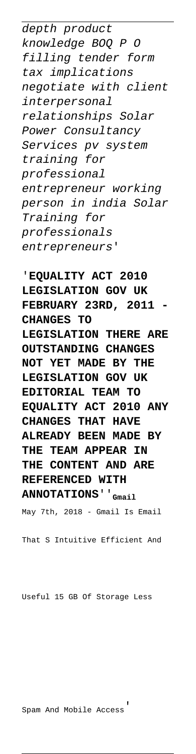depth product knowledge BOQ P O filling tender form tax implications negotiate with client interpersonal relationships Solar Power Consultancy Services pv system training for professional entrepreneur working person in india Solar Training for professionals entrepreneurs'

'**EQUALITY ACT 2010 LEGISLATION GOV UK FEBRUARY 23RD, 2011 CHANGES TO LEGISLATION THERE ARE OUTSTANDING CHANGES NOT YET MADE BY THE LEGISLATION GOV UK EDITORIAL TEAM TO EQUALITY ACT 2010 ANY CHANGES THAT HAVE ALREADY BEEN MADE BY THE TEAM APPEAR IN THE CONTENT AND ARE REFERENCED WITH ANNOTATIONS**''**Gmail**

May 7th, 2018 - Gmail Is Email

That S Intuitive Efficient And

Useful 15 GB Of Storage Less

Spam And Mobile Access'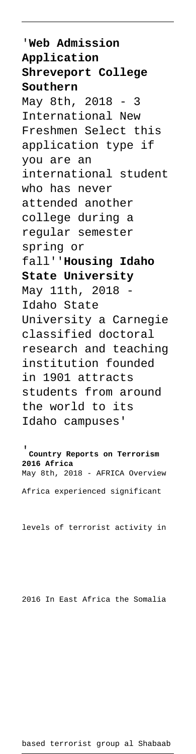'**Web Admission Application Shreveport College Southern** May 8th, 2018 - 3 International New Freshmen Select this application type if you are an international student who has never attended another college during a regular semester spring or fall''**Housing Idaho State University** May 11th, 2018 Idaho State University a Carnegie classified doctoral research and teaching institution founded in 1901 attracts students from around the world to its Idaho campuses'

'**Country Reports on Terrorism 2016 Africa** May 8th, 2018 - AFRICA Overview Africa experienced significant

levels of terrorist activity in

2016 In East Africa the Somalia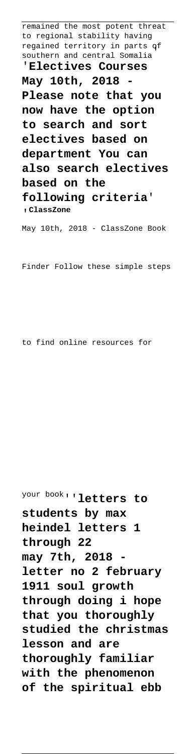remained the most potent threat to regional stability having regained territory in parts of southern and central Somalia' '**Electives Courses** May 10th, 2018 **Please note that you now have the option to search and sort electives based on department You can**

**also search electives based on the following criteria**' '**ClassZone**

May 10th, 2018 - ClassZone Book

Finder Follow these simple steps

to find online resources for

your book''**letters to students by max heindel letters 1 through 22** may 7th, 2018 **letter no 2 february 1911 soul growth through doing i hope that you thoroughly studied the christmas lesson and are thoroughly familiar with the phenomenon of the spiritual ebb**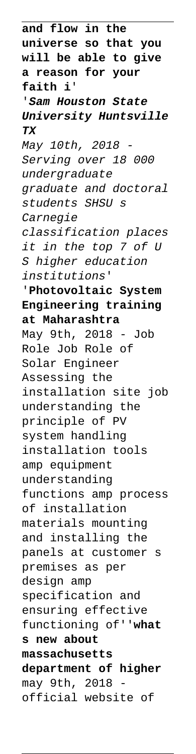**and flow in the universe so that you will be able to give a reason for your faith i**' '**Sam Houston State University Huntsville TX** May 10th, 2018 - Serving over 18 000 undergraduate graduate and doctoral students SHSU s Carnegie classification places it in the top 7 of U S higher education institutions' '**Photovoltaic System Engineering training at Maharashtra** May 9th, 2018 - Job Role Job Role of Solar Engineer Assessing the installation site job understanding the principle of PV system handling installation tools amp equipment understanding functions amp process of installation materials mounting and installing the panels at customer s premises as per design amp specification and ensuring effective functioning of''**what s new about massachusetts department of higher** may 9th, 2018 official website of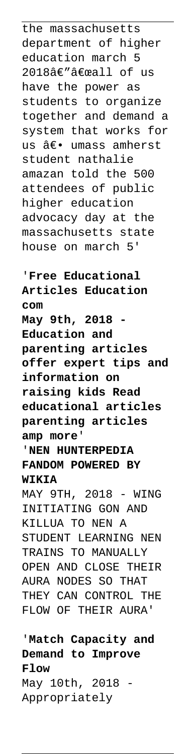the massachusetts department of higher education march 5 2018â€""all of us have the power as students to organize together and demand a system that works for us â€. umass amherst student nathalie amazan told the 500 attendees of public higher education advocacy day at the massachusetts state house on march 5'

'**Free Educational Articles Education com May 9th, 2018 - Education and parenting articles offer expert tips and information on raising kids Read educational articles parenting articles amp more**' '**NEN HUNTERPEDIA**

**FANDOM POWERED BY WIKIA**

MAY 9TH, 2018 - WING INITIATING GON AND KILLUA TO NEN A STUDENT LEARNING NEN TRAINS TO MANUALLY OPEN AND CLOSE THEIR AURA NODES SO THAT THEY CAN CONTROL THE FLOW OF THEIR AURA'

'**Match Capacity and Demand to Improve Flow** May 10th, 2018 - Appropriately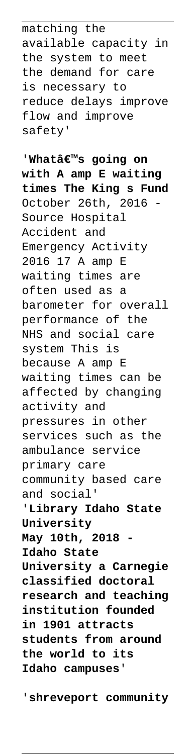matching the available capacity in the system to meet the demand for care is necessary to reduce delays improve flow and improve safety'

'Whatâ€<sup>™</sup>s going on **with A amp E waiting times The King s Fund** October 26th, 2016 Source Hospital Accident and Emergency Activity 2016 17 A amp E waiting times are often used as a barometer for overall performance of the NHS and social care system This is because A amp E waiting times can be affected by changing activity and pressures in other services such as the ambulance service primary care community based care and social' '**Library Idaho State University May 10th, 2018 Idaho State University a Carnegie classified doctoral research and teaching institution founded in 1901 attracts students from around the world to its Idaho campuses**'

'**shreveport community**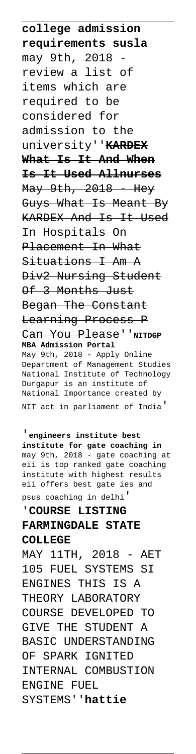**college admission requirements susla** may 9th, 2018 review a list of items which are required to be considered for admission to the university''**KARDEX What Is It And When Is It Used Allnurses** May 9th, 2018 Hey Guys What Is Meant By KARDEX And Is It Used In Hospitals On Placement In What Situations I Am A Div2 Nursing Student Of 3 Months Just Began The Constant Learning Process P Can You Please''NITDGP **MBA Admission Portal** May 9th, 2018 - Apply Online Department of Management Studies National Institute of Technology Durgapur is an institute of National Importance created by NIT act in parliament of India'

'**engineers institute best institute for gate coaching in** may 9th, 2018 - gate coaching at eii is top ranked gate coaching institute with highest results eii offers best gate ies and psus coaching in delhi'

## '**COURSE LISTING FARMINGDALE STATE COLLEGE**

MAY 11TH, 2018 - AET 105 FUEL SYSTEMS SI ENGINES THIS IS A THEORY LABORATORY COURSE DEVELOPED TO GIVE THE STUDENT A BASIC UNDERSTANDING OF SPARK IGNITED INTERNAL COMBUSTION ENGINE FUEL SYSTEMS''**hattie**